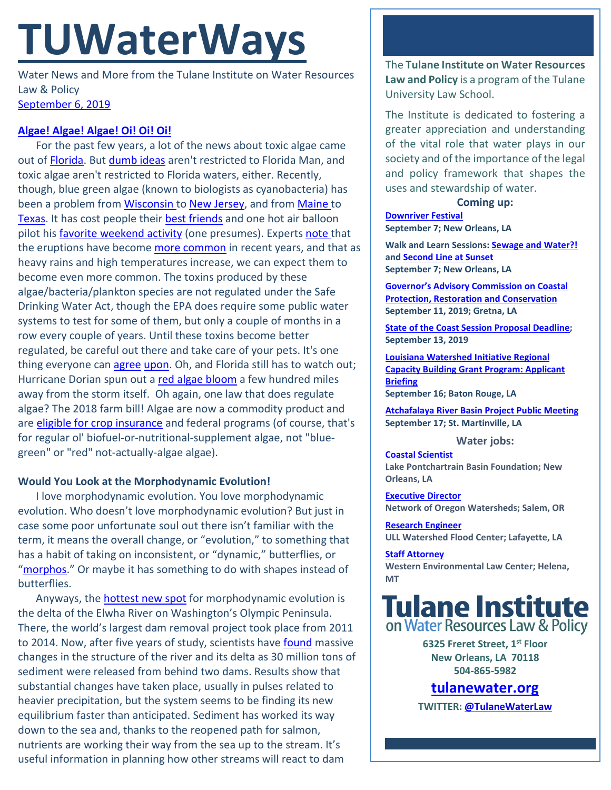# **TUWaterWays**

Water News and More from the Tulane Institute on Water Resources Law & Policy [September 6, 2019](https://thisdayinwaterhistory.wordpress.com/)

### **[Algae! Algae! Algae! Oi! Oi! Oi!](https://www.youtube.com/watch?v=B4Asqq78nBE)**

For the past few years, a lot of the news about toxic algae came out of [Florida.](https://nam03.safelinks.protection.outlook.com/?url=https%3A%2F%2Fwww.flseagrant.org%2Falgae-blooms%2F&data=02%7C01%7Ccdalbom%40tulane.edu%7C22d0f1b8467e4bee0b8c08d732331936%7C9de9818325d94b139fc34de5489c1f3b%7C0%7C0%7C637033067349294633&sdata=0Ip37jGhhkmKT%2FjZ8sDXESt3DEHAvBaKe%2FdoeG8%2F0kY%3D&reserved=0) But [dumb ideas](https://twitter.com/tyler_vazquez/status/1168235639285964801?ref_src=twsrc%5Etfw) aren't restricted to Florida Man, and toxic algae aren't restricted to Florida waters, either. Recently, though, blue green algae (known to biologists as cyanobacteria) has been a problem from [Wisconsin t](https://nam03.safelinks.protection.outlook.com/?url=https%3A%2F%2Fwww.wpr.org%2Fstate-health-officials-develop-signs-warning-about-blue-green-algae-blooms&data=02%7C01%7Ccdalbom%40tulane.edu%7C22d0f1b8467e4bee0b8c08d732331936%7C9de9818325d94b139fc34de5489c1f3b%7C0%7C0%7C637033067349304629&sdata=5EJVFEnaQzTN13W5aUq3ks9H00RlV2d%2B2YgDlRdqzGg%3D&reserved=0)[o New Jersey,](https://nam03.safelinks.protection.outlook.com/?url=https%3A%2F%2F6abc.com%2Fhealth%2Fharmful-algae-bloom-found-in-new-jersey%2F5516702%2F&data=02%7C01%7Ccdalbom%40tulane.edu%7C22d0f1b8467e4bee0b8c08d732331936%7C9de9818325d94b139fc34de5489c1f3b%7C0%7C0%7C637033067349304629&sdata=zOuOk3SPGEWQHvPND636b5vZ5%2FhYXhI2faXi6JmU3fc%3D&reserved=0) and from [Maine t](https://nam03.safelinks.protection.outlook.com/?url=https%3A%2F%2Fwgme.com%2Fnews%2Flocal%2Fscientists-take-samples-of-algae-bloom-in-maine-pond&data=02%7C01%7Ccdalbom%40tulane.edu%7C22d0f1b8467e4bee0b8c08d732331936%7C9de9818325d94b139fc34de5489c1f3b%7C0%7C0%7C637033067349314622&sdata=T4zeFE8PXWgTYNYsnUTNsL5ZJAuD5VDDrmONDF%2FO0bI%3D&reserved=0)o [Texas.](https://nam03.safelinks.protection.outlook.com/?url=https%3A%2F%2Fwww.kut.org%2Fpost%2Ftoxic-algae-lady-bird-lake-popping-all-over-country&data=02%7C01%7Ccdalbom%40tulane.edu%7C22d0f1b8467e4bee0b8c08d732331936%7C9de9818325d94b139fc34de5489c1f3b%7C0%7C0%7C637033067349314622&sdata=5%2Bz7HpuZ78SOy6zfM5h9ZTTM832paoBy%2BBMZ4PO0k70%3D&reserved=0) It has cost people their [best friends](https://nam03.safelinks.protection.outlook.com/?url=https%3A%2F%2Fnews.bloombergenvironment.com%2Fenvironment-and-energy%2Fdog-deaths-raise-algal-bloom-alarm-as-states-report-more-toxins&data=02%7C01%7Ccdalbom%40tulane.edu%7C22d0f1b8467e4bee0b8c08d732331936%7C9de9818325d94b139fc34de5489c1f3b%7C0%7C0%7C637033067349314622&sdata=jRaCmpeW3%2Bi8M4d6zG2XgbRv1dPA230QYTPegK4wH1o%3D&reserved=0) and one hot air balloon pilot his [favorite weekend activity](https://nam03.safelinks.protection.outlook.com/?url=https%3A%2F%2Fwww.krdo.com%2Fnews%2Fballoon-pilot-grounded-for-dipping-basket-into-blue-green-algae-infected-lake%2F1116206199&data=02%7C01%7Ccdalbom%40tulane.edu%7C22d0f1b8467e4bee0b8c08d732331936%7C9de9818325d94b139fc34de5489c1f3b%7C0%7C0%7C637033067349324616&sdata=o6fDlo6J6h%2Bf3XwJMsv35gmPJqVVgcVYDlZnla7U7PQ%3D&reserved=0) (one presumes). Experts [note t](https://nam03.safelinks.protection.outlook.com/?url=https%3A%2F%2Fwww.ewg.org%2Finteractive-maps%2F2019_microcystin%2F&data=02%7C01%7Ccdalbom%40tulane.edu%7C22d0f1b8467e4bee0b8c08d732331936%7C9de9818325d94b139fc34de5489c1f3b%7C0%7C0%7C637033067349324616&sdata=RVIgW0ED06pwyPXySSgjMnbwnBl%2BpFNORKsBfIZQyLo%3D&reserved=0)hat the eruptions have becom[e more common](https://newrepublic.com/article/154799/frightening-spread-toxic-algae) in recent years, and that as heavy rains and high temperatures increase, we can expect them to become even more common. The toxins produced by these algae/bacteria/plankton species are not regulated under the Safe Drinking Water Act, though the EPA does require some public water systems to test for some of them, but only a couple of months in a row every couple of years. Until these toxins become better regulated, be careful out there and take care of your pets. It's one thing everyone can [agree](https://nam03.safelinks.protection.outlook.com/?url=https%3A%2F%2Fwww.foxnews.com%2Fscience%2Fbeware-toxic-algae-dog&data=02%7C01%7Ccdalbom%40tulane.edu%7C22d0f1b8467e4bee0b8c08d732331936%7C9de9818325d94b139fc34de5489c1f3b%7C0%7C0%7C637033067349334612&sdata=Zv0PrKLoaLGbIOmjTQssQ%2BVx2O2Mrb3sn8aTjMshKH8%3D&reserved=0) [upon.](https://nam03.safelinks.protection.outlook.com/?url=https%3A%2F%2Fwww.nytimes.com%2F2019%2F08%2F12%2Fus%2Fblue-green-algae-dogs.html&data=02%7C01%7Ccdalbom%40tulane.edu%7C22d0f1b8467e4bee0b8c08d732331936%7C9de9818325d94b139fc34de5489c1f3b%7C0%7C0%7C637033067349334612&sdata=l%2BHWUbKCMEZrOcGklN0QuQvyyIV5%2F3wybzfq%2B1tMI%2Bo%3D&reserved=0) Oh, and Florida still has to watch out; Hurricane Dorian spun out a [red algae bloom](https://nam03.safelinks.protection.outlook.com/?url=https%3A%2F%2Fwww.winknews.com%2F2019%2F09%2F04%2Fhurricane-dorian-brings-chunks-of-red-drift-algae-to-sanibel-island%2F&data=02%7C01%7Ccdalbom%40tulane.edu%7C22d0f1b8467e4bee0b8c08d732331936%7C9de9818325d94b139fc34de5489c1f3b%7C0%7C0%7C637033067349344607&sdata=zhSHxULXi%2FDq2h%2BcurATnUbME5RUpLDf0AW1CGY5va0%3D&reserved=0) a few hundred miles away from the storm itself. Oh again, one law that does regulate algae? The 2018 farm bill! Algae are now a commodity product and are [eligible for crop insurance](https://nam03.safelinks.protection.outlook.com/?url=https%3A%2F%2Fwww.yaleclimateconnections.org%2F2019%2F09%2Falgae-could-be-turned-into-climate-friendly-food-and-fuel%2F&data=02%7C01%7Ccdalbom%40tulane.edu%7C22d0f1b8467e4bee0b8c08d732331936%7C9de9818325d94b139fc34de5489c1f3b%7C0%7C0%7C637033067349344607&sdata=S7RtlJYX4L8UCnmEH86amy%2B8zwVS4NUpLLjLFvhpXpM%3D&reserved=0) and federal programs (of course, that's for regular ol' biofuel-or-nutritional-supplement algae, not "bluegreen" or "red" not-actually-algae algae).

#### **Would You Look at the Morphodynamic Evolution!**

I love morphodynamic evolution. You love morphodynamic evolution. Who doesn't love morphodynamic evolution? But just in case some poor unfortunate soul out there isn't familiar with the term, it means the overall change, or "evolution," to something that has a habit of taking on inconsistent, or "dynamic," butterflies, or ["morphos.](https://www.youtube.com/watch?v=3StDFYv-AxQ)" Or maybe it has something to do with shapes instead of butterflies.

Anyways, the [hottest new spot](https://giphy.com/gifs/snl-saturday-night-live-bill-hader-29LTG8tQpoEkIeOnIO) for morphodynamic evolution is the delta of the Elwha River on Washington's Olympic Peninsula. There, the world's largest dam removal project took place from 2011 to 2014. Now, after five years of study, scientists have [found](https://www.nature.com/articles/s41598-018-30817-8) massive changes in the structure of the river and its delta as 30 million tons of sediment were released from behind two dams. Results show that substantial changes have taken place, usually in pulses related to heavier precipitation, but the system seems to be finding its new equilibrium faster than anticipated. Sediment has worked its way down to the sea and, thanks to the reopened path for salmon, nutrients are working their way from the sea up to the stream. It's useful information in planning how other streams will react to dam

The **Tulane Institute on Water Resources Law and Policy** is a program of the Tulane University Law School.

The Institute is dedicated to fostering a greater appreciation and understanding of the vital role that water plays in our society and of the importance of the legal and policy framework that shapes the uses and stewardship of water.

#### **Coming up:**

**[Downriver Festival](https://www.downriverfest.org/home) September 7; New Orleans, LA**

**Walk and Learn Sessions: [Sewage and Water?!](https://www.facebook.com/events/681979878937687/) and [Second Line at Sunset](https://www.facebook.com/events/408702719756588/) September 7; New Orleans, LA**

**[Governor's Advisory Commission on Coastal](https://coastal.la.gov/calendar/)  [Protection, Restoration and Conservation](https://coastal.la.gov/calendar/) September 11, 2019; Gretna, LA**

**[State of the Coast Session Proposal Deadline;](https://conference.ifas.ufl.edu/soc/call_proposals.html) September 13, 2019**

**[Louisiana Watershed Initiative Regional](https://www.watershed.la.gov/calendar/event/804/)  [Capacity Building Grant Program: Applicant](https://www.watershed.la.gov/calendar/event/804/)  [Briefing](https://www.watershed.la.gov/calendar/event/804/) September 16; Baton Rouge, LA**

**[Atchafalaya River Basin Project Public Meeting](https://coastal.la.gov/calendar/) September 17; St. Martinville, LA**

#### **Water jobs:**

**[Coastal Scientist](https://saveourlake.org/download/coastal-scientist-position/?wpdmdl=16308&ind=1564694308409) Lake Pontchartrain Basin Foundation; New Orleans, LA**

**[Executive Director](http://www.oregonwatersheds.org/network-of-oregon-watersheds-is-hiring/) Network of Oregon Watersheds; Salem, OR**

**[Research Engineer](https://louisiana.csod.com/ats/careersite/JobDetails.aspx?site=1&id=804) ULL Watershed Flood Center; Lafayette, LA**

**[Staff Attorney](https://westernlaw.org/staff-attorney-position-helena-montana/) Western Environmental Law Center; Helena, MT**



**6325 Freret Street, 1st Floor New Orleans, LA 70118 504-865-5982** 

## **tulanewater.org**

**TWITTER[: @TulaneWaterLaw](http://www.twitter.com/TulaneWaterLaw)**